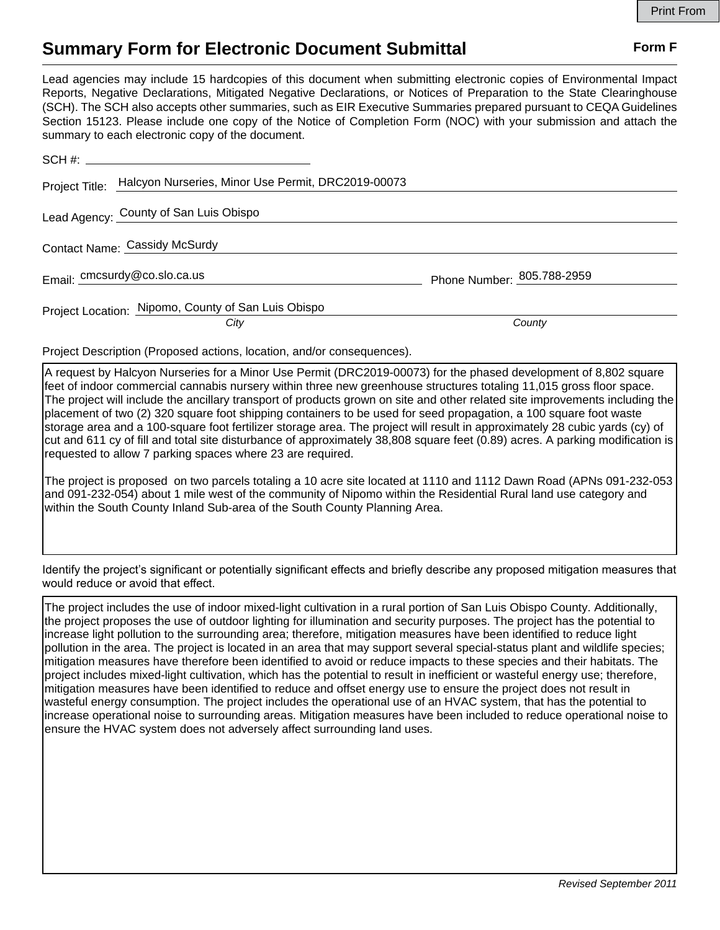## **Summary Form for Electronic Document Submittal Form F Form F**

Lead agencies may include 15 hardcopies of this document when submitting electronic copies of Environmental Impact Reports, Negative Declarations, Mitigated Negative Declarations, or Notices of Preparation to the State Clearinghouse (SCH). The SCH also accepts other summaries, such as EIR Executive Summaries prepared pursuant to CEQA Guidelines Section 15123. Please include one copy of the Notice of Completion Form (NOC) with your submission and attach the summary to each electronic copy of the document.

|                               | Project Title: Halcyon Nurseries, Minor Use Permit, DRC2019-00073 |                            |
|-------------------------------|-------------------------------------------------------------------|----------------------------|
|                               | Lead Agency: County of San Luis Obispo                            |                            |
| Contact Name: Cassidy McSurdy |                                                                   |                            |
|                               | Email: cmcsurdy@co.slo.ca.us                                      | Phone Number: 805.788-2959 |
|                               | Project Location: Nipomo, County of San Luis Obispo<br>City       | County                     |

Project Description (Proposed actions, location, and/or consequences).

A request by Halcyon Nurseries for a Minor Use Permit (DRC2019-00073) for the phased development of 8,802 square feet of indoor commercial cannabis nursery within three new greenhouse structures totaling 11,015 gross floor space. The project will include the ancillary transport of products grown on site and other related site improvements including the placement of two (2) 320 square foot shipping containers to be used for seed propagation, a 100 square foot waste storage area and a 100-square foot fertilizer storage area. The project will result in approximately 28 cubic yards (cy) of cut and 611 cy of fill and total site disturbance of approximately 38,808 square feet (0.89) acres. A parking modification is requested to allow 7 parking spaces where 23 are required.

The project is proposed on two parcels totaling a 10 acre site located at 1110 and 1112 Dawn Road (APNs 091-232-053 and 091-232-054) about 1 mile west of the community of Nipomo within the Residential Rural land use category and within the South County Inland Sub-area of the South County Planning Area.

Identify the project's significant or potentially significant effects and briefly describe any proposed mitigation measures that would reduce or avoid that effect.

The project includes the use of indoor mixed-light cultivation in a rural portion of San Luis Obispo County. Additionally, the project proposes the use of outdoor lighting for illumination and security purposes. The project has the potential to increase light pollution to the surrounding area; therefore, mitigation measures have been identified to reduce light pollution in the area. The project is located in an area that may support several special-status plant and wildlife species; mitigation measures have therefore been identified to avoid or reduce impacts to these species and their habitats. The project includes mixed-light cultivation, which has the potential to result in inefficient or wasteful energy use; therefore, mitigation measures have been identified to reduce and offset energy use to ensure the project does not result in wasteful energy consumption. The project includes the operational use of an HVAC system, that has the potential to increase operational noise to surrounding areas. Mitigation measures have been included to reduce operational noise to ensure the HVAC system does not adversely affect surrounding land uses.